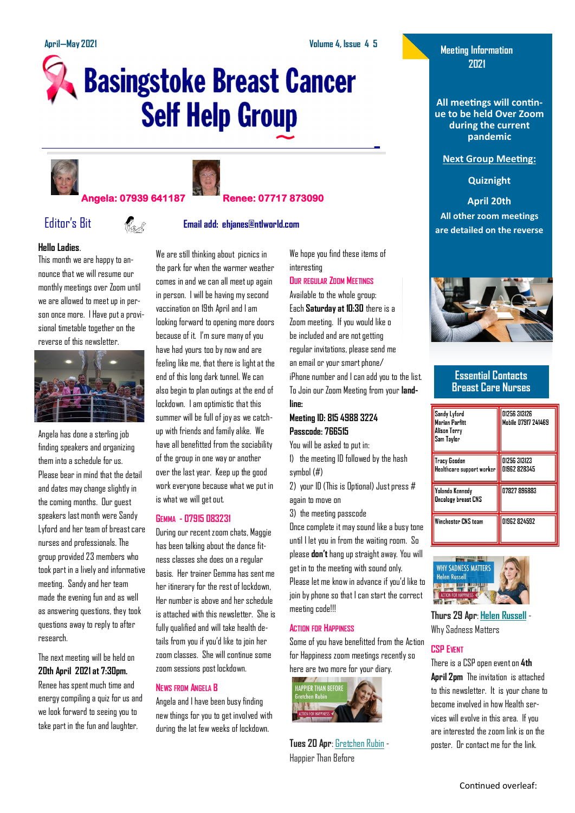# **Basingstoke Breast Cancer Self Help Group**





# **Angela: 07939 641187 Renee: 07717 873090**

# Editor's Bit **Email add: ehjanes@ntlworld.com**

# **Hello Ladies**.

This month we are happy to announce that we will resume our monthly meetings over Zoom until we are allowed to meet up in person once more. I Have put a provisional timetable together on the reverse of this newsletter.



Angela has done a sterling job finding speakers and organizing them into a schedule for us. Please bear in mind that the detail and dates may change slightly in the coming months. Our guest speakers last month were Sandy Lyford and her team of breast care nurses and professionals. The group provided 23 members who took part in a lively and informative meeting. Sandy and her team made the evening fun and as well as answering questions, they took questions away to reply to after research.

The next meeting will be held on **20th April 2021 at 7:30pm.** 

Renee has spent much time and energy compiling a quiz for us and we look forward to seeing you to take part in the fun and laughter.

We are still thinking about picnics in the park for when the warmer weather comes in and we can all meet up again in person. I will be having my second vaccination on 19th April and I am looking forward to opening more doors because of it. I'm sure many of you have had yours too by now and are feeling like me, that there is light at the end of this long dark tunnel. We can also begin to plan outings at the end of lockdown. I am optimistic that this summer will be full of joy as we catchup with friends and family alike. We have all benefitted from the sociability of the group in one way or another over the last year. Keep up the good work everyone because what we put in is what we will get out.

# **GEMMA - 07915 083231**

During our recent zoom chats, Maggie has been talking about the dance fitness classes she does on a regular basis. Her trainer Gemma has sent me her itinerary for the rest of lockdown, Her number is above and her schedule is attached with this newsletter. She is fully qualified and will take health details from you if you'd like to join her zoom classes. She will continue some zoom sessions post lockdown.

# **NEWS FROM ANGELA B**

Angela and I have been busy finding new things for you to get involved with during the lat few weeks of lockdown.

We hope you find these items of interesting

# **OUR REGULAR ZOOM MEETINGS**

Available to the whole group: Each **Saturday at 10:30** there is a Zoom meeting. If you would like o be included and are not getting regular invitations, please send me an email or your smart phone/ iPhone number and I can add you to the list. To Join our Zoom Meeting from your **landline:** 

# **Meeting ID: 815 4988 3224 Passcode: 766515**

You will be asked to put in:

1) the meeting ID followed by the hash symbol (#)

2) your ID (This is Optional) Just press # again to move on

3) the meeting passcode

Once complete it may sound like a busy tone until I let you in from the waiting room. So please **don't**hang up straight away. You will get in to the meeting with sound only. Please let me know in advance if you'd like to join by phone so that I can start the correct meeting code!!!

### **ACTION FOR HAPPINESS**

Some of you have benefitted from the Action for Happiness zoom meetings recently so here are two more for your diary.



**Tues 20 Apr**: [Gretchen Rubin](https://actionforhappiness.us3.list-manage.com/track/click?u=38ea3e7c0a12909b5f17eb1ed&id=8fb6396be9&e=823446e7c5) - Happier Than Before

# **Meeting Information 2021**

**All meetings will continue to be held Over Zoom during the current pandemic**

# **Next Group Meeting:**

**Quiznight** 

**April 20th All other zoom meetings are detailed on the reverse**



# **Essential Contacts Breast Care Nurses**

| Sandy Lyford<br><b>Marian Parfitt</b><br>Alison Terry<br>Sam Taylor | 01256 313126<br>Mobile 07917 241469 |  |
|---------------------------------------------------------------------|-------------------------------------|--|
| Tracy Gosden<br>Healthcare support worker                           | 01256 313123<br>01962 828345        |  |
| Yolanda Kennedy<br>Oncology breast CNS                              | 07827 896883                        |  |
| Winchester CNS team                                                 | 01962 824592                        |  |



**Thurs 29 Apr**: **[Helen Russell](https://actionforhappiness.us3.list-manage.com/track/click?u=38ea3e7c0a12909b5f17eb1ed&id=cb605996df&e=823446e7c5)** - Why Sadness Matters

# **CSP EVENT**

There is a CSP open event on **4th April 2pm** The invitation is attached to this newsletter. It is your chane to become involved in how Health services will evolve in this area. If you are interested the zoom link is on the poster. Or contact me for the link.